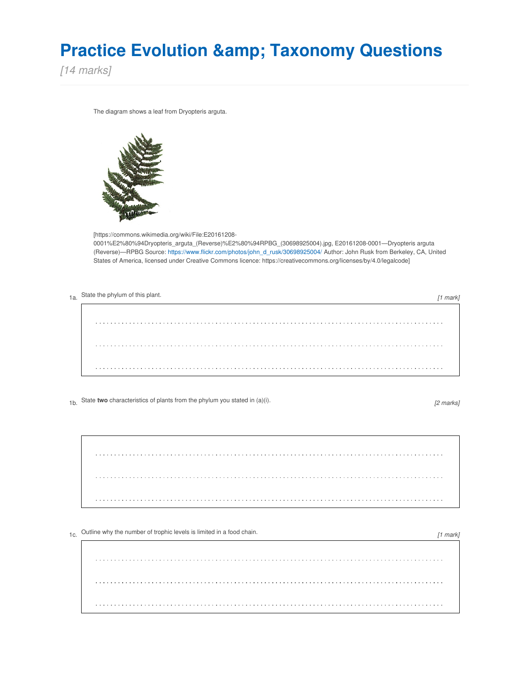## **Practice Evolution & Taxonomy Questions**

*[14 marks]*

The diagram shows a leaf from Dryopteris arguta.



[https://commons.wikimedia.org/wiki/File:E20161208-

0001%E2%80%94Dryopteris\_arguta\_(Reverse)%E2%80%94RPBG\_(30698925004).jpg, E20161208-0001—Dryopteris arguta (Reverse)—RPBG Source: [https://www.flickr.com/photos/john\\_d\\_rusk/30698925004/](https://www.flickr.com/photos/john_d_rusk/30698925004/) Author: John Rusk from Berkeley, CA, United States of America, licensed under Creative Commons licence: https://creativecommons.org/licenses/by/4.0/legalcode]

| 1a. State the phylum of this plant. |  |
|-------------------------------------|--|
|                                     |  |
|                                     |  |
|                                     |  |

1b. State **two** characteristics of plants from the phylum you stated in (a)(i).

*[2 marks]*

*[1 mark]*

1c. Outline why the number of trophic levels is limited in a food chain.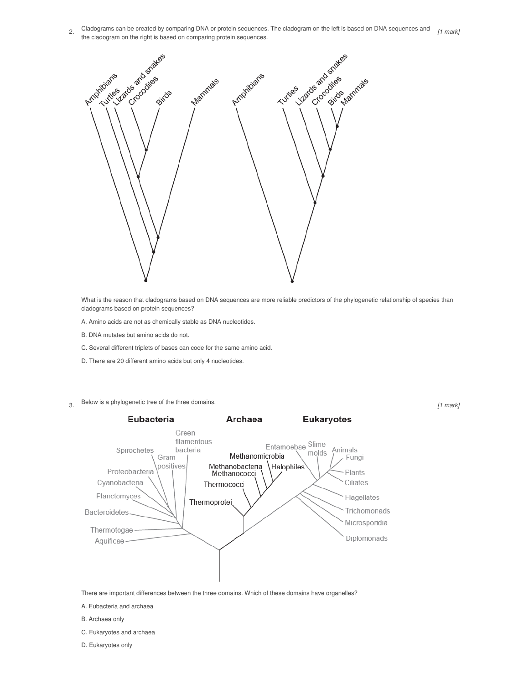2. Cladograms can be created by comparing DNA or protein sequences. The cladogram on the left is based on DNA sequences and *[1 mark]* the cladogram on the right is based on comparing protein sequences.



What is the reason that cladograms based on DNA sequences are more reliable predictors of the phylogenetic relationship of species than cladograms based on protein sequences?

*[1 mark]*

- A. Amino acids are not as chemically stable as DNA nucleotides.
- B. DNA mutates but amino acids do not.
- C. Several different triplets of bases can code for the same amino acid.
- D. There are 20 different amino acids but only 4 nucleotides.
- 3. Below is <sup>a</sup> phylogenetic tree of the three domains.



There are important differences between the three domains. Which of these domains have organelles?

- A. Eubacteria and archaea
- B. Archaea only
- C. Eukaryotes and archaea
- D. Eukaryotes only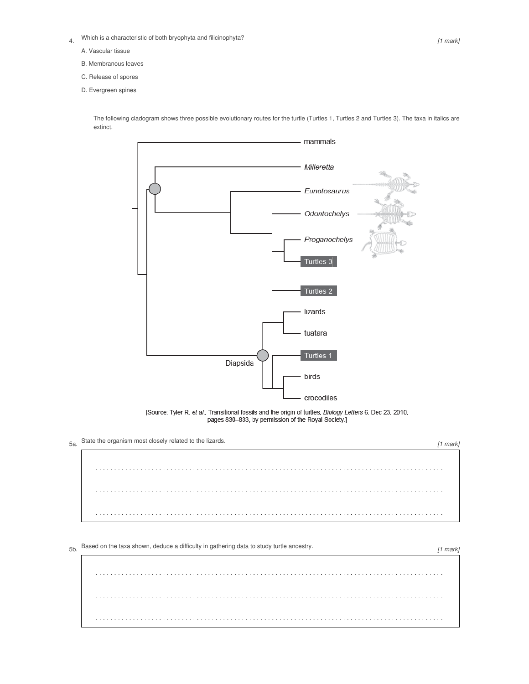- 4. Which is a characteristic of both bryophyta and filicinophyta?
	- A. Vascular tissue
	- B. Membranous leaves
	- C. Release of spores
	- D. Evergreen spines

The following cladogram shows three possible evolutionary routes for the turtle (Turtles 1, Turtles 2 and Turtles 3). The taxa in italics are extinct.



[Source: Tyler R. et al., Transitional fossils and the origin of turtles, Biology Letters 6, Dec 23, 2010, pages 830-833, by permission of the Royal Society.]

5a. State the organism most closely related to the lizards.

*[1 mark]* 

## 5b. Based on the taxa shown, deduce <sup>a</sup> difficulty in gathering data to study turtle ancestry.

*[1 mark]*

. . . . . . . . . . . . .